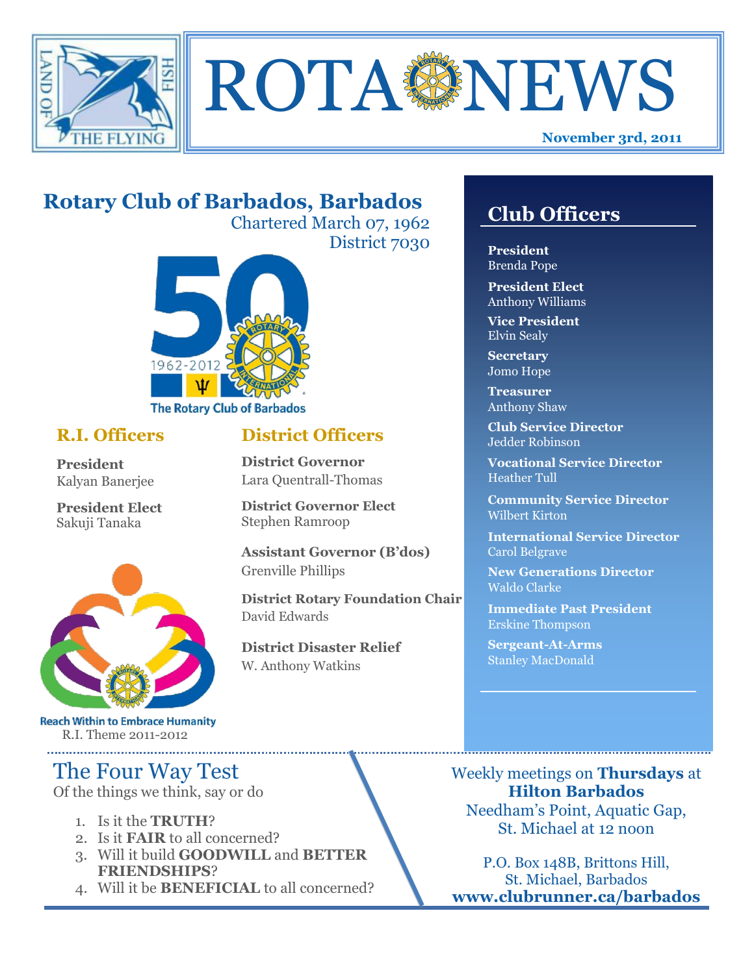



# **Rotary Club of Barbados, Barbados**

Chartered March 07, 1962 District 7030



## **R.I. Officers**

**President**  Kalyan Banerjee

**President Elect** Sakuji Tanaka



**Reach Within to Embrace Humanity** R.I. Theme 2011-2012

# The Four Way Test

Of the things we think, say or do

- 1. Is it the **TRUTH**?
- 2. Is it **FAIR** to all concerned?
- 3. Will it build **GOODWILL** and **BETTER FRIENDSHIPS**?
- 4. Will it be **BENEFICIAL** to all concerned?

# **Club Officers**

**Club Officers** 

**President** Brenda Pope

**President Elect** Anthony Williams

**Vice President** Elvin Sealy

**Secretary** Jomo Hope

**Treasurer** Anthony Shaw

**Club Service Director** Jedder Robinson

**Vocational Service Director** Heather Tull

**Community Service Director** Wilbert Kirton

**International Service Director** Carol Belgrave

**New Generations Director** Waldo Clarke

**Immediate Past President** Erskine Thompson

**Sergeant-At-Arms** Stanley MacDonald

Weekly meetings on **Thursdays** at **Hilton Barbados** Needham's Point, Aquatic Gap, St. Michael at 12 noon

P.O. Box 148B, Brittons Hill, St. Michael, Barbados **www.clubrunner.ca/barbados**

## **District Officers**

**District Governor** Lara Quentrall-Thomas

**District Governor Elect** Stephen Ramroop

**Assistant Governor (B'dos)** Grenville Phillips

**District Rotary Foundation Chair** David Edwards

**District Disaster Relief** W. Anthony Watkins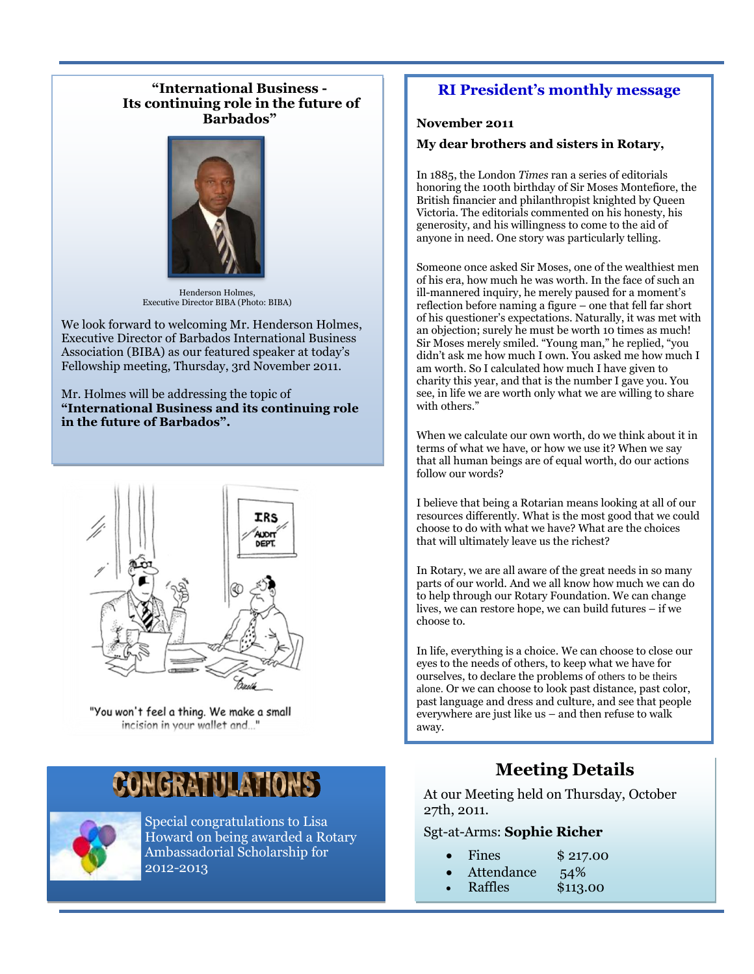#### **"International Business - Its continuing role in the future of Barbados"**



Henderson Holmes, Executive Director BIBA (Photo: BIBA)

We look forward to welcoming Mr. Henderson Holmes, Executive Director of Barbados International Business Association (BIBA) as our featured speaker at today's Fellowship meeting, Thursday, 3rd November 2011.

#### Mr. Holmes will be addressing the topic of **"International Business and its continuing role in the future of Barbados".**



"You won't feel a thing. We make a small incision in your wallet and..."

# CONGRATULATIONS



Special congratulations to Lisa Howard on being awarded a Rotary Ambassadorial Scholarship for 2012-2013

## **RI President's monthly message**

#### **November 2011**

#### **My dear brothers and sisters in Rotary,**

In 1885, the London *Times* ran a series of editorials honoring the 100th birthday of Sir Moses Montefiore, the British financier and philanthropist knighted by Queen Victoria. The editorials commented on his honesty, his generosity, and his willingness to come to the aid of anyone in need. One story was particularly telling.

Someone once asked Sir Moses, one of the wealthiest men of his era, how much he was worth. In the face of such an ill-mannered inquiry, he merely paused for a moment's reflection before naming a figure – one that fell far short of his questioner's expectations. Naturally, it was met with an objection; surely he must be worth 10 times as much! Sir Moses merely smiled. "Young man," he replied, "you didn't ask me how much I own. You asked me how much I am worth. So I calculated how much I have given to charity this year, and that is the number I gave you. You see, in life we are worth only what we are willing to share with others."

When we calculate our own worth, do we think about it in terms of what we have, or how we use it? When we say that all human beings are of equal worth, do our actions follow our words?

I believe that being a Rotarian means looking at all of our resources differently. What is the most good that we could choose to do with what we have? What are the choices that will ultimately leave us the richest?

In Rotary, we are all aware of the great needs in so many parts of our world. And we all know how much we can do to help through our Rotary Foundation. We can change lives, we can restore hope, we can build futures – if we choose to.

In life, everything is a choice. We can choose to close our eyes to the needs of others, to keep what we have for ourselves, to declare the problems of others to be theirs alone. Or we can choose to look past distance, past color, past language and dress and culture, and see that people everywhere are just like us – and then refuse to walk away.

# **Meeting Details**

At our Meeting held on Thursday, October 27th, 2011.

#### Sgt-at-Arms: **Sophie Richer**

|  | Fines | \$217.00 |
|--|-------|----------|
|--|-------|----------|

- Attendance 54%
- Raffles \$113.00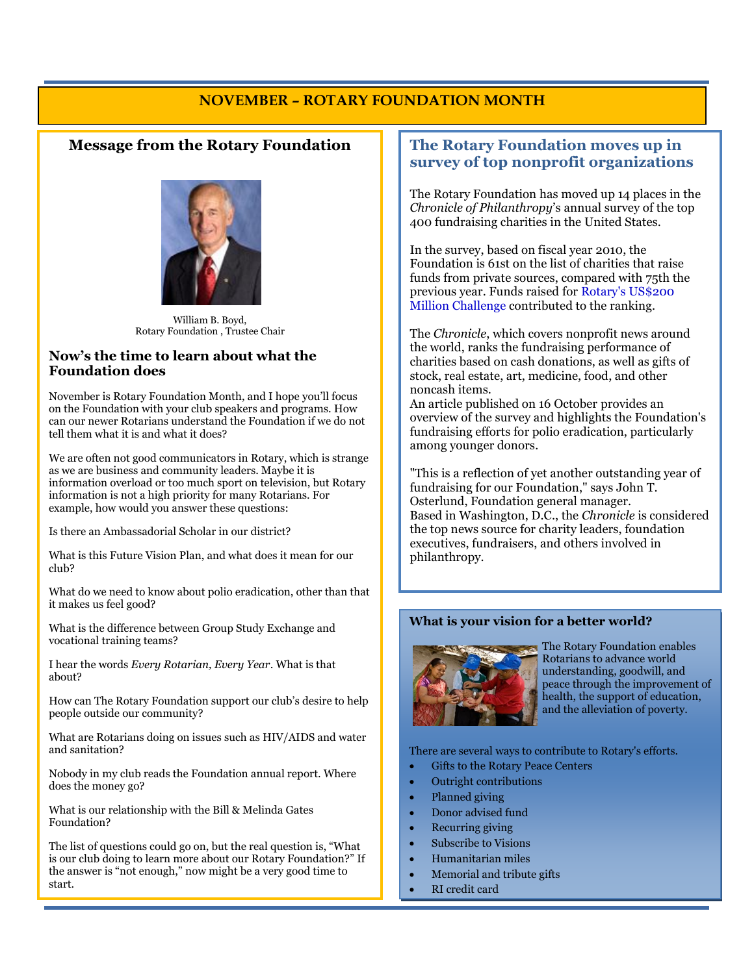### **NOVEMBER – ROTARY FOUNDATION MONTH**

#### **Message from the Rotary Foundation**



William B. Boyd, Rotary Foundation , Trustee Chair

#### **Now's the time to learn about what the Foundation does**

November is Rotary Foundation Month, and I hope you'll focus on the Foundation with your club speakers and programs. How can our newer Rotarians understand the Foundation if we do not tell them what it is and what it does?

We are often not good communicators in Rotary, which is strange as we are business and community leaders. Maybe it is information overload or too much sport on television, but Rotary information is not a high priority for many Rotarians. For example, how would you answer these questions:

Is there an Ambassadorial Scholar in our district?

What is this Future Vision Plan, and what does it mean for our club?

What do we need to know about polio eradication, other than that it makes us feel good?

What is the difference between Group Study Exchange and vocational training teams?

I hear the words *Every Rotarian, Every Year*. What is that about?

How can The Rotary Foundation support our club's desire to help people outside our community?

What are Rotarians doing on issues such as HIV/AIDS and water and sanitation?

Nobody in my club reads the Foundation annual report. Where does the money go?

What is our relationship with the Bill & Melinda Gates Foundation?

The list of questions could go on, but the real question is, "What is our club doing to learn more about our Rotary Foundation?" If the answer is "not enough," now might be a very good time to start.

#### **The Rotary Foundation moves up in survey of top nonprofit organizations**

The Rotary Foundation has moved up 14 places in the *Chronicle of Philanthropy*'s annual survey of the top 400 fundraising charities in the United States.

In the survey, based on fiscal year 2010, the Foundation is 61st on the list of charities that raise funds from private sources, compared with 75th the previous year. Funds raised for [Rotary's US\\$200](http://www.rotary.org/en/EndPolio/Pages/ridefault.aspx)  [Million Challenge](http://www.rotary.org/en/EndPolio/Pages/ridefault.aspx) contributed to the ranking.

The *Chronicle*, which covers nonprofit news around the world, ranks the fundraising performance of charities based on cash donations, as well as gifts of stock, real estate, art, medicine, food, and other noncash items.

An [article published on 16 October](http://philanthropy.com/article/Groups-Take-Innovative-Steps/129395/) provides an overview of the survey and highlights the Foundation's fundraising efforts for polio eradication, particularly among younger donors.

"This is a reflection of yet another outstanding year of fundraising for our Foundation," says John T. Osterlund, Foundation general manager. Based in Washington, D.C., the *Chronicle* is considered the top news source for charity leaders, foundation executives, fundraisers, and others involved in philanthropy.

#### **What is your vision for a better world?**



The Rotary Foundation enables Rotarians to advance world understanding, goodwill, and peace through the improvement of health, the support of education, and the alleviation of poverty.

There are several ways to contribute to Rotary's efforts.

- Gifts to the Rotary Peace Centers
- Outright contributions
- Planned giving
- Donor advised fund
- Recurring giving
- Subscribe to Visions
- Humanitarian miles
- Memorial and tribute gifts
- RI credit card